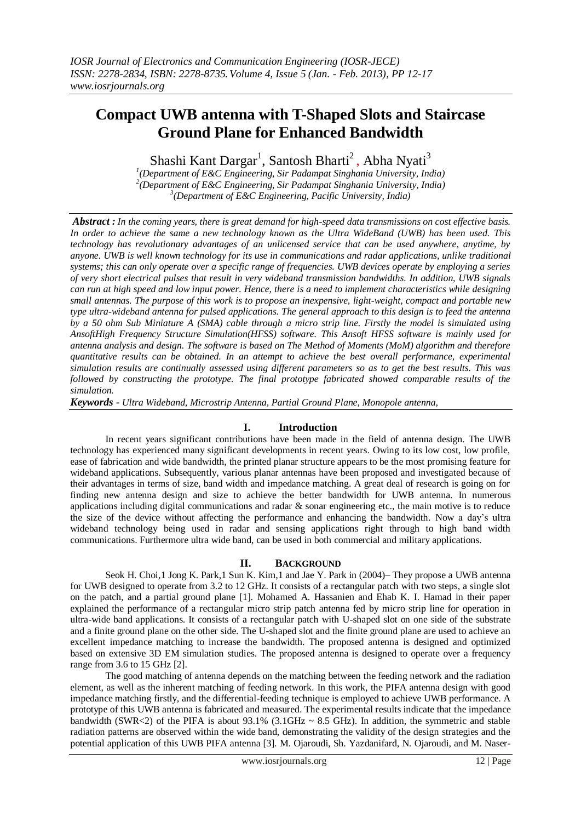# **Compact UWB antenna with T-Shaped Slots and Staircase Ground Plane for Enhanced Bandwidth**

Shashi Kant Dargar<sup>1</sup>, Santosh Bharti<sup>2</sup>, Abha Nyati<sup>3</sup>

*1 (Department of E&C Engineering, Sir Padampat Singhania University, India) 2 (Department of E&C Engineering, Sir Padampat Singhania University, India) 3 (Department of E&C Engineering, Pacific University, India)*

*Abstract : In the coming years, there is great demand for high-speed data transmissions on cost effective basis. In order to achieve the same a new technology known as the Ultra WideBand (UWB) has been used. This technology has revolutionary advantages of an unlicensed service that can be used anywhere, anytime, by anyone. UWB is well known technology for its use in communications and radar applications, unlike traditional systems; this can only operate over a specific range of frequencies. UWB devices operate by employing a series of very short electrical pulses that result in very wideband transmission bandwidths. In addition, UWB signals can run at high speed and low input power. Hence, there is a need to implement characteristics while designing small antennas. The purpose of this work is to propose an inexpensive, light-weight, compact and portable new type ultra-wideband antenna for pulsed applications. The general approach to this design is to feed the antenna by a 50 ohm Sub Miniature A (SMA) cable through a micro strip line. Firstly the model is simulated using AnsoftHigh Frequency Structure Simulation(HFSS) software. This Ansoft HFSS software is mainly used for antenna analysis and design. The software is based on The Method of Moments (MoM) algorithm and therefore quantitative results can be obtained. In an attempt to achieve the best overall performance, experimental simulation results are continually assessed using different parameters so as to get the best results. This was followed by constructing the prototype. The final prototype fabricated showed comparable results of the simulation.*

*Keywords - Ultra Wideband, Microstrip Antenna, Partial Ground Plane, [Monopole antenna,](http://ieeexplore.ieee.org/search/searchresult.jsp?searchWithin=Search_Index_Terms:.QT.monopole%20antenna.QT.&newsearch=partialPref)* 

## **I. Introduction**

In recent years significant contributions have been made in the field of antenna design. The UWB technology has experienced many significant developments in recent years. Owing to its low cost, low profile, ease of fabrication and wide bandwidth, the printed planar structure appears to be the most promising feature for wideband applications. Subsequently, various planar antennas have been proposed and investigated because of their advantages in terms of size, band width and impedance matching. A great deal of research is going on for finding new antenna design and size to achieve the better bandwidth for UWB antenna. In numerous applications including digital communications and radar & sonar engineering etc., the main motive is to reduce the size of the device without affecting the performance and enhancing the bandwidth. Now a day"s ultra wideband technology being used in radar and sensing applications right through to high band width communications. Furthermore ultra wide band, can be used in both commercial and military applications.

# **II. BACKGROUND**

Seok H. Choi,1 Jong K. Park,1 Sun K. Kim,1 and Jae Y. Park in (2004)– They propose a UWB antenna for UWB designed to operate from 3.2 to 12 GHz. It consists of a rectangular patch with two steps, a single slot on the patch, and a partial ground plane [1]. Mohamed A. Hassanien and Ehab K. I. Hamad in their paper explained the performance of a rectangular micro strip patch antenna fed by micro strip line for operation in ultra-wide band applications. It consists of a rectangular patch with U-shaped slot on one side of the substrate and a finite ground plane on the other side. The U-shaped slot and the finite ground plane are used to achieve an excellent impedance matching to increase the bandwidth. The proposed antenna is designed and optimized based on extensive 3D EM simulation studies. The proposed antenna is designed to operate over a frequency range from 3.6 to 15 GHz [2].

The good matching of antenna depends on the matching between the feeding network and the radiation element, as well as the inherent matching of feeding network. In this work, the PIFA antenna design with good impedance matching firstly, and the differential-feeding technique is employed to achieve UWB performance. A prototype of this UWB antenna is fabricated and measured. The experimental results indicate that the impedance bandwidth (SWR<2) of the PIFA is about  $93.1\%$  (3.1GHz ~ 8.5 GHz). In addition, the symmetric and stable radiation patterns are observed within the wide band, demonstrating the validity of the design strategies and the potential application of this UWB PIFA antenna [3]. M. Ojaroudi, Sh. Yazdanifard, N. Ojaroudi, and M. Naser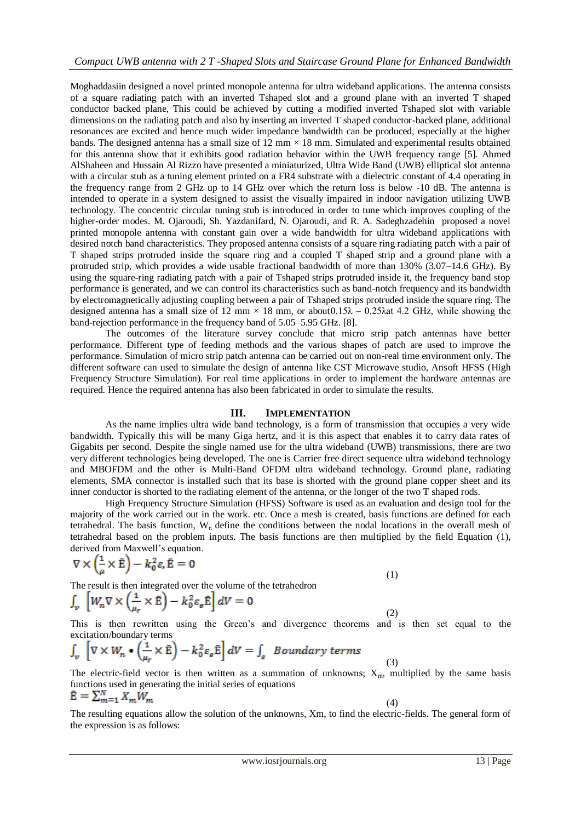Moghaddasiin designed a novel printed monopole antenna for ultra wideband applications. The antenna consists of a square radiating patch with an inverted Tshaped slot and a ground plane with an inverted T shaped conductor backed plane, This could be achieved by cutting a modified inverted Tshaped slot with variable dimensions on the radiating patch and also by inserting an inverted T shaped conductor-backed plane, additional resonances are excited and hence much wider impedance bandwidth can be produced, especially at the higher bands. The designed antenna has a small size of  $12 \text{ mm} \times 18 \text{ mm}$ . Simulated and experimental results obtained for this antenna show that it exhibits good radiation behavior within the UWB frequency range [5]. Ahmed AlShaheen and Hussain Al Rizzo have presented a miniaturized, Ultra Wide Band (UWB) elliptical slot antenna with a circular stub as a tuning element printed on a FR4 substrate with a dielectric constant of 4.4 operating in the frequency range from 2 GHz up to 14 GHz over which the return loss is below -10 dB. The antenna is intended to operate in a system designed to assist the visually impaired in indoor navigation utilizing UWB technology. The concentric circular tuning stub is introduced in order to tune which improves coupling of the higher-order modes. M. Ojaroudi, Sh. Yazdanifard, N. Ojaroudi, and R. A. Sadeghzadehin proposed a novel printed monopole antenna with constant gain over a wide bandwidth for ultra wideband applications with desired notch band characteristics. They proposed antenna consists of a square ring radiating patch with a pair of T shaped strips protruded inside the square ring and a coupled T shaped strip and a ground plane with a protruded strip, which provides a wide usable fractional bandwidth of more than 130% (3.07–14.6 GHz). By using the square-ring radiating patch with a pair of Tshaped strips protruded inside it, the frequency band stop performance is generated, and we can control its characteristics such as band-notch frequency and its bandwidth by electromagnetically adjusting coupling between a pair of Tshaped strips protruded inside the square ring. The designed antenna has a small size of 12 mm  $\times$  18 mm, or about 0.15 $\lambda$  – 0.25 $\lambda$ at 4.2 GHz, while showing the band-rejection performance in the frequency band of 5.05–5.95 GHz. [8].

The outcomes of the literature survey conclude that micro strip patch antennas have better performance. Different type of feeding methods and the various shapes of patch are used to improve the performance. Simulation of micro strip patch antenna can be carried out on non-real time environment only. The different software can used to simulate the design of antenna like CST Microwave studio, Ansoft HFSS (High Frequency Structure Simulation). For real time applications in order to implement the hardware antennas are required. Hence the required antenna has also been fabricated in order to simulate the results.

## **III. IMPLEMENTATION**

As the name implies ultra wide band technology, is a form of transmission that occupies a very wide bandwidth. Typically this will be many Giga hertz, and it is this aspect that enables it to carry data rates of Gigabits per second. Despite the single named use for the ultra wideband (UWB) transmissions, there are two very different technologies being developed. The one is Carrier free direct sequence ultra wideband technology and MBOFDM and the other is Multi-Band OFDM ultra wideband technology. Ground plane, radiating elements, SMA connector is installed such that its base is shorted with the ground plane copper sheet and its inner conductor is shorted to the radiating element of the antenna, or the longer of the two T shaped rods.

High Frequency Structure Simulation (HFSS) Software is used as an evaluation and design tool for the majority of the work carried out in the work. etc. Once a mesh is created, basis functions are defined for each tetrahedral. The basis function,  $W_n$  define the conditions between the nodal locations in the overall mesh of tetrahedral based on the problem inputs. The basis functions are then multiplied by the field Equation (1), derived from Maxwell"s equation.

$$
\nabla \times \left(\frac{1}{\mu} \times \bar{\mathbf{E}}\right) - k_0^2 \varepsilon, \bar{\mathbf{E}} = 0 \tag{1}
$$

The result is then integrated over the volume of the tetrahedron

$$
\int_{\nu} \left[ W_n \nabla \times \left( \frac{1}{\mu_r} \times \bar{\mathbf{E}} \right) - k_0^2 \varepsilon_e \bar{\mathbf{E}} \right] dV = 0
$$

(2) This is then rewritten using the Green"s and divergence theorems and is then set equal to the excitation/boundary terms

$$
\int_{v} \left[ \nabla \times W_n \bullet \left( \frac{1}{\mu_r} \times \bar{\mathbf{E}} \right) - k_0^2 \varepsilon_e \bar{\mathbf{E}} \right] dV = \int_{s} \; B \, \sigma \, \text{undary terms}
$$

The electric-field vector is then written as a summation of unknowns;  $X_{m}$ , multiplied by the same basis functions used in generating the initial series of equations  $\bar{\mathbf{E}} = \sum_{m=1}^{N} X_m W_m$ 

(3)

(4) The resulting equations allow the solution of the unknowns, Xm, to find the electric-fields. The general form of the expression is as follows: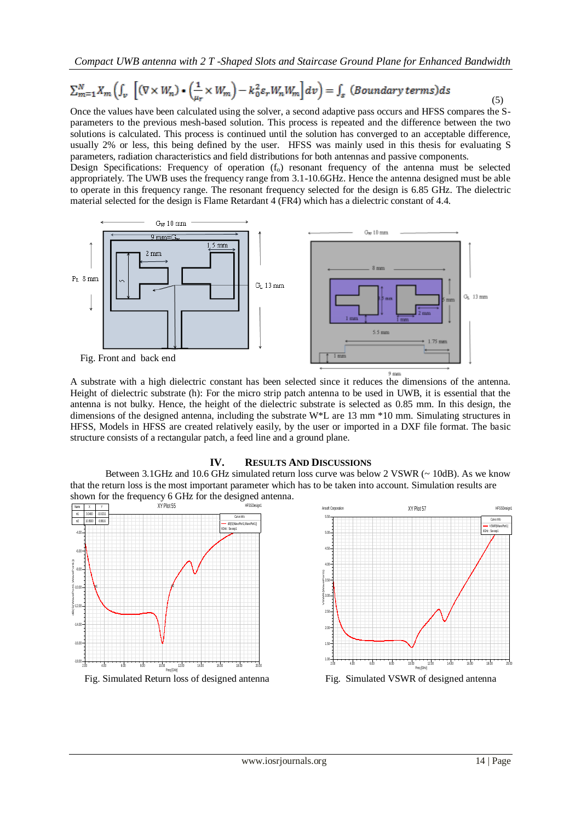*Compact UWB antenna with 2 T -Shaped Slots and Staircase Ground Plane for Enhanced Bandwidth*

# $\sum_{m=1}^{N} X_m \left( \int_v \left[ (\nabla \times W_n) \bullet \left( \frac{1}{u_s} \times W_m \right) - k_0^2 \varepsilon_r W_n W_m \right] dv \right) = \int_s \left( \text{Boundary terms} \right) ds$

Once the values have been calculated using the solver, a second adaptive pass occurs and HFSS compares the Sparameters to the previous mesh-based solution. This process is repeated and the difference between the two solutions is calculated. This process is continued until the solution has converged to an acceptable difference, usually 2% or less, this being defined by the user. HFSS was mainly used in this thesis for evaluating S parameters, radiation characteristics and field distributions for both antennas and passive components.

Design Specifications: Frequency of operation  $(f_0)$  resonant frequency of the antenna must be selected appropriately. The UWB uses the frequency range from 3.1-10.6GHz. Hence the antenna designed must be able to operate in this frequency range. The resonant frequency selected for the design is 6.85 GHz. The dielectric material selected for the design is Flame Retardant 4 (FR4) which has a dielectric constant of 4.4.



A substrate with a high dielectric constant has been selected since it reduces the dimensions of the antenna. Height of dielectric substrate (h): For the micro strip patch antenna to be used in UWB, it is essential that the antenna is not bulky. Hence, the height of the dielectric substrate is selected as 0.85 mm. In this design, the dimensions of the designed antenna, including the substrate W\*L are 13 mm \*10 mm. Simulating structures in HFSS, Models in HFSS are created relatively easily, by the user or imported in a DXF file format. The basic structure consists of a rectangular patch, a feed line and a ground plane.

## **IV. RESULTS AND DISCUSSIONS**

Between 3.1GHz and 10.6 GHz simulated return loss curve was below 2 VSWR ( $\sim$  10dB). As we know that the return loss is the most important parameter which has to be taken into account. Simulation results are





(5)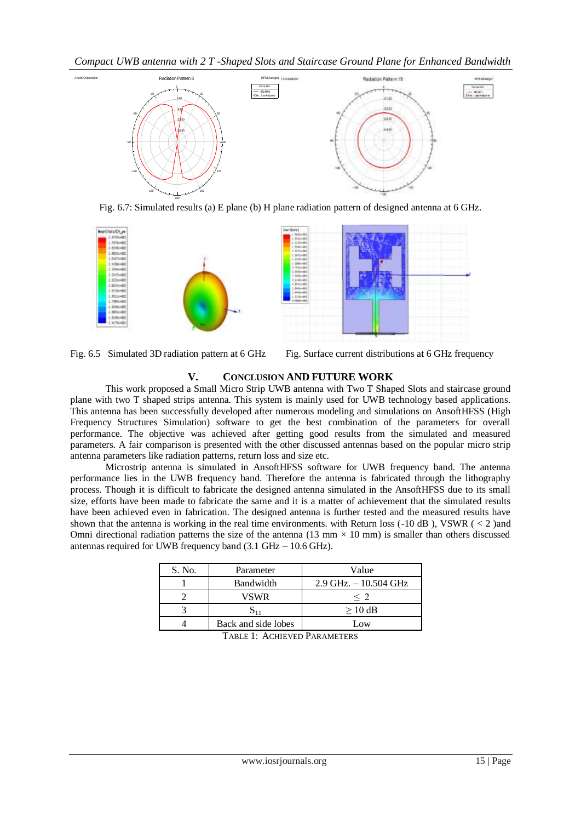*Compact UWB antenna with 2 T -Shaped Slots and Staircase Ground Plane for Enhanced Bandwidth*



Fig. 6.7: Simulated results (a) E plane (b) H plane radiation pattern of designed antenna at 6 GHz.



Fig. 6.5 Simulated 3D radiation pattern at 6 GHz Fig. Surface current distributions at 6 GHz frequency

# **V. CONCLUSION AND FUTURE WORK**

This work proposed a Small Micro Strip UWB antenna with Two T Shaped Slots and staircase ground plane with two T shaped strips antenna. This system is mainly used for UWB technology based applications. This antenna has been successfully developed after numerous modeling and simulations on AnsoftHFSS (High Frequency Structures Simulation) software to get the best combination of the parameters for overall performance. The objective was achieved after getting good results from the simulated and measured parameters. A fair comparison is presented with the other discussed antennas based on the popular micro strip antenna parameters like radiation patterns, return loss and size etc.

Microstrip antenna is simulated in AnsoftHFSS software for UWB frequency band. The antenna performance lies in the UWB frequency band. Therefore the antenna is fabricated through the lithography process. Though it is difficult to fabricate the designed antenna simulated in the AnsoftHFSS due to its small size, efforts have been made to fabricate the same and it is a matter of achievement that the simulated results have been achieved even in fabrication. The designed antenna is further tested and the measured results have shown that the antenna is working in the real time environments. with Return loss  $(-10 \text{ dB})$ , VSWR  $(< 2$ ) and Omni directional radiation patterns the size of the antenna (13 mm  $\times$  10 mm) is smaller than others discussed antennas required for UWB frequency band (3.1 GHz – 10.6 GHz).

| S. No. | Parameter           | Value                    |
|--------|---------------------|--------------------------|
|        | Bandwidth           | $2.9$ GHz. $-10.504$ GHz |
|        | VSWR                | $<$ 2                    |
|        |                     | $>10$ dB                 |
|        | Back and side lobes | Low                      |

TABLE 1: ACHIEVED PARAMETERS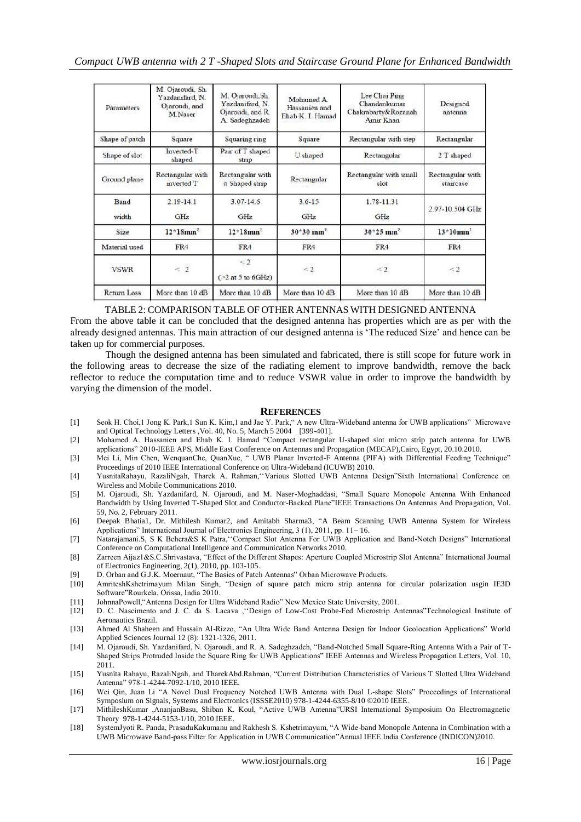| Parameters         | M. Ojaroudi, Sh.<br>Yazdanifard, N.<br>Ojaroudi, and<br>M.Naser | M. Ojaroudi, Sh.<br>Yazdanıfard, N.<br>Ojaroudi, and R.<br>A. Sadeghzadeh | Mohamed A<br>Hassanien and<br>Ehab K. I. Hamad | Lee Chai Ping<br>Chandankumar<br>Chakrabarty&Rozanah<br>Amir Khan | Designed<br>antenna           |
|--------------------|-----------------------------------------------------------------|---------------------------------------------------------------------------|------------------------------------------------|-------------------------------------------------------------------|-------------------------------|
| Shape of patch     | Square                                                          | Squaring ring                                                             | Square                                         | Rectangular with step                                             | Rectangular                   |
| Shape of slot      | Inverted-T<br>shaped                                            | Pair of T shaped<br>strip                                                 | U shaped                                       | Rectangular                                                       | 2 T shaped                    |
| Ground plane       | Rectangular with<br>inverted T                                  | Rectangular with<br>π Shaped strip                                        | Rectangular                                    | Rectangular with small<br>slot                                    | Rectangular with<br>staircase |
| Band<br>width      | $2.19 - 14.1$<br>GHz                                            | $3.07 - 14.6$<br>GHz                                                      | $3.6 - 15$<br>GHz                              | 1.78-11.31<br><b>GHz</b>                                          | 2.97-10.504 GHz               |
| Size               | $12*18mm2$                                                      | $12*18$ mm <sup>2</sup>                                                   | $30*30$ mm <sup>2</sup>                        | $30*25$ mm <sup>2</sup>                                           | $13*10mm^2$                   |
| Material used      | FR4                                                             | FR4                                                                       | FR4                                            | FR4                                                               | FR4                           |
| <b>VSWR</b>        | $\leq 2$                                                        | $\leq 2$<br>$($ $\geq$ 2 at 5 to 6GHz)                                    | $\leq 2$                                       | $\leq 2$                                                          | $\leq$ 2                      |
| <b>Return Loss</b> | More than 10 dB                                                 | More than 10 dB                                                           | More than 10 dB                                | More than 10 dB                                                   | More than 10 dB               |

TABLE 2: COMPARISON TABLE OF OTHER ANTENNAS WITH DESIGNED ANTENNA

From the above table it can be concluded that the designed antenna has properties which are as per with the already designed antennas. This main attraction of our designed antenna is "The reduced Size" and hence can be taken up for commercial purposes.

Though the designed antenna has been simulated and fabricated, there is still scope for future work in the following areas to decrease the size of the radiating element to improve bandwidth, remove the back reflector to reduce the computation time and to reduce VSWR value in order to improve the bandwidth by varying the dimension of the model.

#### **REFERENCES**

- [1] Seok H. Choi,1 Jong K. Park,1 Sun K. Kim,1 and Jae Y. Park," A new Ultra-Wideband antenna for UWB applications" Microwave and Optical Technology Letters ,Vol. 40, No. 5, March 5 2004 [399-401].
- [2] Mohamed A. Hassanien and Ehab K. I. Hamad "Compact rectangular U-shaped slot micro strip patch antenna for UWB applications" 2010-IEEE APS, Middle East Conference on Antennas and Propagation (MECAP),Cairo, Egypt, 20.10.2010.
- [3] Mei Li, Min Chen, WenquanChe, QuanXue, " UWB Planar Inverted-F Antenna (PIFA) with Differential Feeding Technique" Proceedings of 2010 IEEE International Conference on Ultra-Wideband (ICUWB) 2010.
- [4] YusnitaRahayu, RazaliNgah, Tharek A. Rahman,""Various Slotted UWB Antenna Design"Sixth International Conference on Wireless and Mobile Communications 2010.
- [5] M. Ojaroudi, Sh. Yazdanifard, N. Ojaroudi, and M. Naser-Moghaddasi, "Small Square Monopole Antenna With Enhanced Bandwidth by Using Inverted T-Shaped Slot and Conductor-Backed Plane"IEEE Transactions On Antennas And Propagation, Vol. 59, No. 2, February 2011.
- [6] Deepak Bhatia1, Dr. Mithilesh Kumar2, and Amitabh Sharma3, "A Beam Scanning UWB Antenna System for Wireless Applications" International Journal of Electronics Engineering, 3 (1), 2011, pp. 11– 16.
- [7] Natarajamani.S, S K Behera&S K Patra,""Compact Slot Antenna For UWB Application and Band-Notch Designs" International Conference on Computational Intelligence and Communication Networks 2010.
- [8] Zarreen Aijaz1&S.C.Shrivastava, "Effect of the Different Shapes: Aperture Coupled Microstrip Slot Antenna" International Journal of Electronics Engineering, 2(1), 2010, pp. 103-105.
- [9] D. Orban and G.J.K. Moernaut, "The Basics of Patch Antennas" Orban Microwave Products.
- [10] AmriteshKshetrimayum Milan Singh, "Design of square patch micro strip antenna for circular polarization usgin IE3D Software"Rourkela, Orissa, India 2010.
- [11] JohnnaPowell,"Antenna Design for Ultra Wideband Radio" New Mexico State University, 2001.
- [12] D. C. Nascimento and J. C. da S. Lacava ,""Design of Low-Cost Probe-Fed Microstrip Antennas"Technological Institute of Aeronautics Brazil.
- [13] Ahmed Al Shaheen and Hussain Al-Rizzo, "An Ultra Wide Band Antenna Design for Indoor Geolocation Applications" World Applied Sciences Journal 12 (8): 1321-1326, 2011.
- [14] M. Ojaroudi, Sh. Yazdanifard, N. Ojaroudi, and R. A. Sadeghzadeh, "Band-Notched Small Square-Ring Antenna With a Pair of T-Shaped Strips Protruded Inside the Square Ring for UWB Applications" IEEE Antennas and Wireless Propagation Letters, Vol. 10, 2011.
- [15] Yusnita Rahayu, RazaliNgah, and TharekAbd.Rahman, "Current Distribution Characteristics of Various T Slotted Ultra Wideband Antenna" 978-1-4244-7092-1/10, 2010 IEEE.
- [16] Wei Qin, Juan Li "A Novel Dual Frequency Notched UWB Antenna with Dual L-shape Slots" Proceedings of International Symposium on Signals, Systems and Electronics (ISSSE2010) 978-1-4244-6355-8/10 ©2010 IEEE.
- [17] MithileshKumar ,AnanjanBasu, Shiban K. Koul, "Active UWB Antenna"URSI International Symposium On Electromagnetic Theory 978-1-4244-5153-1/10, 2010 IEEE.
- [18] SystemJyoti R. Panda, PrasaduKakumanu and Rakhesh S. Kshetrimayum, "A Wide-band Monopole Antenna in Combination with a UWB Microwave Band-pass Filter for Application in UWB Communication"Annual IEEE India Conference (INDICON)2010.